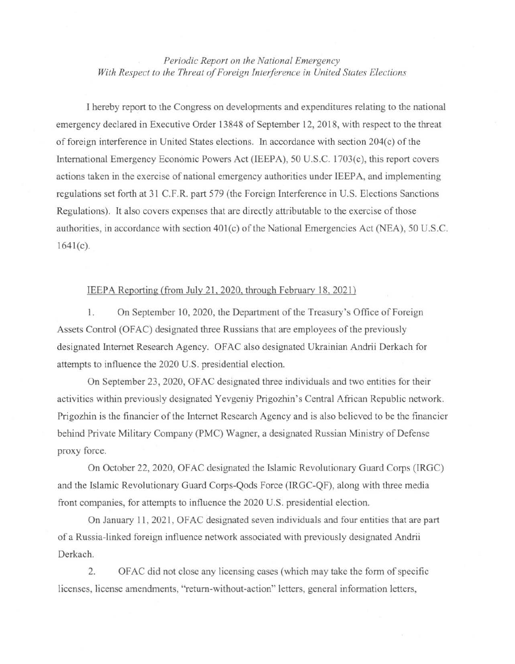*Periodic Report on the National Emergency*  With Respect to the Threat of Foreign Interference in United States Elections

I hereby report to the Congress on developments and expenditures relating to the national emergency declared in Executive Order 13848 of September 12, 2018, with respect to the threat of foreign interference in United States elections. In accordance with section 204( c) of the International Emergency Economic Powers Act (IEEPA), 50 U.S.C. l703(c), this report covers actions taken in the exercise of national emergency authorities under IEEP A, and implementing regulations set forth at 31 C.F.R. part 579 (the Foreign Interference in U.S. Elections Sanctions Regulations). It also covers expenses that are directly attributable to the exercise of those authorities, in accordance with section 401(c) of the National Emergencies Act (NEA), 50 U.S.C.  $1641(c)$ .

## IE EPA Reporting (from July 21, 2020, through February 18, 2021)

1. On September 10, 2020, the Department of the Treasury's Office of Foreign Assets Control (OF AC) designated three Russians that are employees of the previously designated Internet Research Agency. OF AC also designated Ukrainian Andrii Derkach for attempts to influence the 2020 U.S. presidential election.

On September 23, 2020, OF AC designated three individuals and two entities for their activities within previously designated Yevgeniy Prigozhin 's Central African Republic network. Prigozhin is the financier of the Internet Research Agency and is also believed to be the financier behind Private Military Company (PMC) Wagner, a designated Russian Ministry of Defense proxy force.

On October 22, 2020, OF AC designated the Islamic Revolutionary Guard Corps (IRGC) and the Islamic Revolutionary Guard Corps-Qods Force (IRGC-QF), along with three media front companies, for attempts to influence the 2020 U.S. presidential election.

On January 11, 2021, OF AC designated seven individuals and four entities that are part of a Russia-linked foreign influence network associated with previously designated Andrii Derkach.

2. OF AC did not close any licensing cases (which may take the form of specific licenses, license amendments, "return-without-action" letters, general information letters,